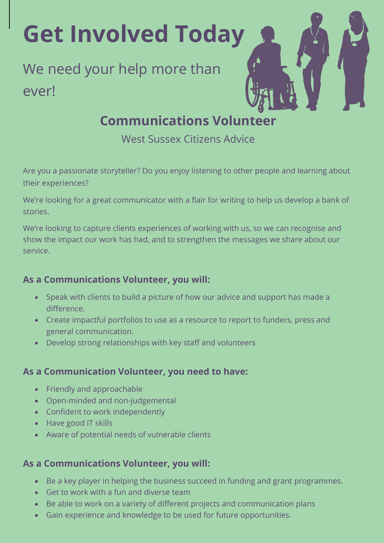**Get Involved Today**

# We need your help more than ever!

# **Communications Volunteer**

West Sussex Citizens Advice

Are you a passionate storyteller? Do you enjoy listening to other people and learning about their experiences?

We're looking for a great communicator with a flair for writing to help us develop a bank of stories.

We're looking to capture clients experiences of working with us, so we can recognise and show the impact our work has had, and to strengthen the messages we share about our service.

### **As a Communications Volunteer, you will:**

- Speak with clients to build a picture of how our advice and support has made a difference.
- Create impactful portfolios to use as a resource to report to funders, press and general communication.
- Develop strong relationships with key staff and volunteers

#### **As a Communication Volunteer, you need to have:**

- Friendly and approachable
- Open-minded and non-judgemental
- Confident to work independently
- Have good IT skills
- Aware of potential needs of vulnerable clients

#### **As a Communications Volunteer, you will:**

- Be a key player in helping the business succeed in funding and grant programmes.
- Get to work with a fun and diverse team
- Be able to work on a variety of different projects and communication plans
- Gain experience and knowledge to be used for future opportunities.